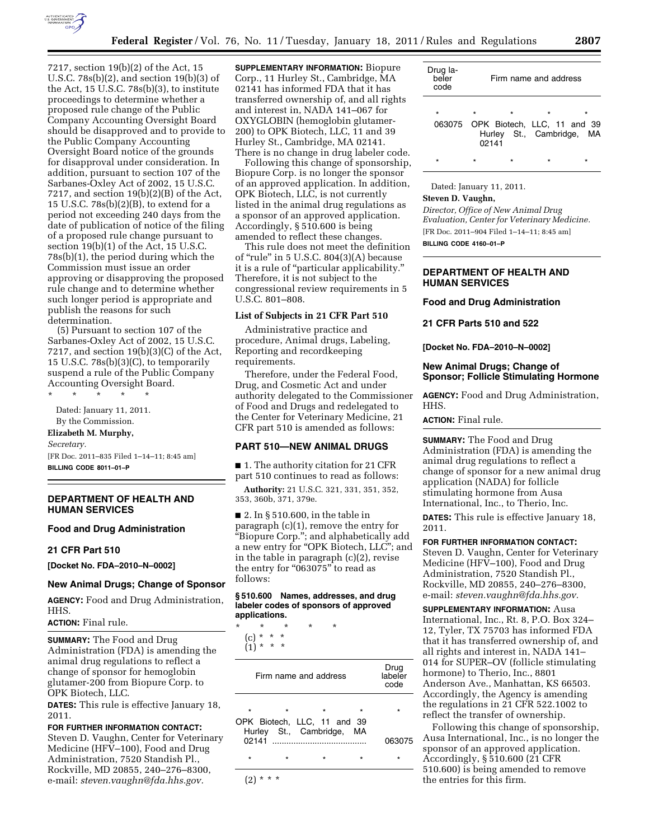

7217, section 19(b)(2) of the Act, 15 U.S.C. 78s(b)(2), and section 19(b)(3) of the Act, 15 U.S.C. 78s(b)(3), to institute proceedings to determine whether a proposed rule change of the Public Company Accounting Oversight Board should be disapproved and to provide to the Public Company Accounting Oversight Board notice of the grounds for disapproval under consideration. In addition, pursuant to section 107 of the Sarbanes-Oxley Act of 2002, 15 U.S.C. 7217, and section  $19(b)(2)(B)$  of the Act, 15 U.S.C. 78s(b)(2)(B), to extend for a period not exceeding 240 days from the date of publication of notice of the filing of a proposed rule change pursuant to section 19(b)(1) of the Act, 15 U.S.C. 78s(b)(1), the period during which the Commission must issue an order approving or disapproving the proposed rule change and to determine whether such longer period is appropriate and publish the reasons for such determination.

(5) Pursuant to section 107 of the Sarbanes-Oxley Act of 2002, 15 U.S.C. 7217, and section  $19(b)(3)(C)$  of the Act, 15 U.S.C. 78s(b)(3)(C), to temporarily suspend a rule of the Public Company Accounting Oversight Board.

\* \* \* \* \* Dated: January 11, 2011. By the Commission. **Elizabeth M. Murphy,** 

# *Secretary.*

[FR Doc. 2011–835 Filed 1–14–11; 8:45 am] **BILLING CODE 8011–01–P** 

# **DEPARTMENT OF HEALTH AND HUMAN SERVICES**

#### **Food and Drug Administration**

#### **21 CFR Part 510**

**[Docket No. FDA–2010–N–0002]** 

#### **New Animal Drugs; Change of Sponsor**

**AGENCY:** Food and Drug Administration, HHS.

**ACTION:** Final rule.

**SUMMARY:** The Food and Drug Administration (FDA) is amending the animal drug regulations to reflect a change of sponsor for hemoglobin glutamer-200 from Biopure Corp. to OPK Biotech, LLC.

**DATES:** This rule is effective January 18, 2011.

# **FOR FURTHER INFORMATION CONTACT:**

Steven D. Vaughn, Center for Veterinary Medicine (HFV–100), Food and Drug Administration, 7520 Standish Pl., Rockville, MD 20855, 240–276–8300, e-mail: *[steven.vaughn@fda.hhs.gov.](mailto:steven.vaughn@fda.hhs.gov)* 

**SUPPLEMENTARY INFORMATION:** Biopure Corp., 11 Hurley St., Cambridge, MA 02141 has informed FDA that it has transferred ownership of, and all rights and interest in, NADA 141–067 for OXYGLOBIN (hemoglobin glutamer-200) to OPK Biotech, LLC, 11 and 39 Hurley St., Cambridge, MA 02141. There is no change in drug labeler code.

Following this change of sponsorship, Biopure Corp. is no longer the sponsor of an approved application. In addition, OPK Biotech, LLC, is not currently listed in the animal drug regulations as a sponsor of an approved application. Accordingly, § 510.600 is being amended to reflect these changes.

This rule does not meet the definition of "rule" in  $5$  U.S.C.  $804(3)(A)$  because it is a rule of ''particular applicability.'' Therefore, it is not subject to the congressional review requirements in 5 U.S.C. 801–808.

#### **List of Subjects in 21 CFR Part 510**

Administrative practice and procedure, Animal drugs, Labeling, Reporting and recordkeeping requirements.

Therefore, under the Federal Food, Drug, and Cosmetic Act and under authority delegated to the Commissioner of Food and Drugs and redelegated to the Center for Veterinary Medicine, 21 CFR part 510 is amended as follows:

## **PART 510—NEW ANIMAL DRUGS**

■ 1. The authority citation for 21 CFR part 510 continues to read as follows:

**Authority:** 21 U.S.C. 321, 331, 351, 352, 353, 360b, 371, 379e.

 $\blacksquare$  2. In § 510.600, in the table in paragraph (c)(1), remove the entry for ''Biopure Corp.''; and alphabetically add a new entry for "OPK Biotech, LLC"; and in the table in paragraph (c)(2), revise the entry for "063075" to read as follows:

#### **§ 510.600 Names, addresses, and drug labeler codes of sponsors of approved applications.**

\* \* \* \* \* (c) \* \* \*

 $(1) * * * *$ 

| Firm name and address |         |                             |         | Drug<br>labeler<br>code |
|-----------------------|---------|-----------------------------|---------|-------------------------|
| $\star$               | $\star$ | OPK Biotech, LLC, 11 and 39 | $\star$ | ÷                       |
| 02141                 |         | Hurley St., Cambridge, MA   |         | 063075                  |
| $\star$               | $\star$ | $\star$                     | $\star$ | ÷                       |
|                       |         |                             |         |                         |

| Drug la-<br>beler<br>code | Firm name and address |         |                                               |                                |
|---------------------------|-----------------------|---------|-----------------------------------------------|--------------------------------|
| $\star$                   | $\star$<br>02141      | $\star$ | $\star$<br>063075 OPK Biotech, LLC, 11 and 39 | ÷<br>Hurley St., Cambridge, MA |
|                           | ÷                     |         |                                               |                                |

Dated: January 11, 2011.

### **Steven D. Vaughn,**

*Director, Office of New Animal Drug Evaluation, Center for Veterinary Medicine.*  [FR Doc. 2011–904 Filed 1–14–11; 8:45 am]

**BILLING CODE 4160–01–P** 

# **DEPARTMENT OF HEALTH AND HUMAN SERVICES**

**Food and Drug Administration** 

**21 CFR Parts 510 and 522** 

**[Docket No. FDA–2010–N–0002]** 

# **New Animal Drugs; Change of Sponsor; Follicle Stimulating Hormone**

**AGENCY:** Food and Drug Administration, HHS.

**ACTION:** Final rule.

**SUMMARY:** The Food and Drug Administration (FDA) is amending the animal drug regulations to reflect a change of sponsor for a new animal drug application (NADA) for follicle stimulating hormone from Ausa International, Inc., to Therio, Inc.

**DATES:** This rule is effective January 18, 2011.

# **FOR FURTHER INFORMATION CONTACT:**

Steven D. Vaughn, Center for Veterinary Medicine (HFV–100), Food and Drug Administration, 7520 Standish Pl., Rockville, MD 20855, 240–276–8300, e-mail: *[steven.vaughn@fda.hhs.gov.](mailto:steven.vaughn@fda.hhs.gov)* 

**SUPPLEMENTARY INFORMATION:** Ausa International, Inc., Rt. 8, P.O. Box 324– 12, Tyler, TX 75703 has informed FDA that it has transferred ownership of, and all rights and interest in, NADA 141– 014 for SUPER–OV (follicle stimulating hormone) to Therio, Inc., 8801 Anderson Ave., Manhattan, KS 66503. Accordingly, the Agency is amending the regulations in 21 CFR 522.1002 to reflect the transfer of ownership.

Following this change of sponsorship, Ausa International, Inc., is no longer the sponsor of an approved application. Accordingly, § 510.600 (21 CFR 510.600) is being amended to remove the entries for this firm.